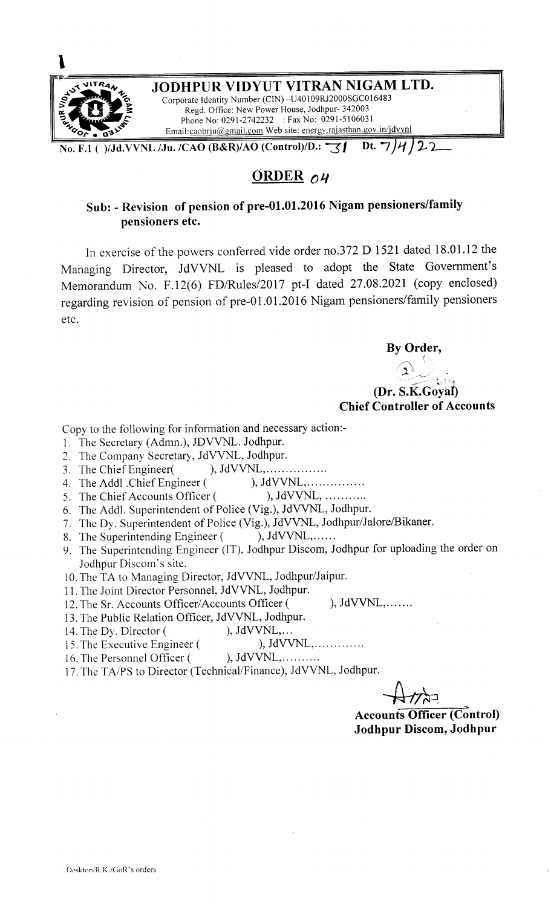

# **ORDER ou**

# **Sub: - Revision of pension of pre-01.01.2016 Nigam pensioners/family pensioners etc.**

In exercise of the powers conferred vide order no.372 D 1521 dated 18.01.12 the Managing Director, JdVVNL is pleased to adopt the State Government's Memorandum No. F.12(6) FD/Rules/2017 pt-I dated 27.08.2021 (copy enclosed) regarding revision of pension of pre-01.01.2016 Nigam pensioners/family pensioners etc.

**By Order,** 

### /<br>( **.,** ์<br>ว **4** : **.**  $\sum_{i=1}^{n}$ --:~:.'. -~- \ '---1 **(Dr. S.K.Goyal) Chief Controller of Accounts**

Copy to the following for information and necessary action:-

- 1. The Secretary (Admn.), JDVVNL. Jodhpur.
- 2. The Company Secretary, JdVVNL, Jodhpur.
- 3. The Chief Engineer( ), JdVVNL, ... ... ... ........
- 4. The Addl .Chief Engineer ( ), JdVVNL, .
- 5. The Chief Accounts Officer (
- 6. The Addl. Superintendent of Police (Vig.), JdVVNL, Jodhpur.
- 7. The Dy. Superintendent of Police (Vig.), JdVVNL, Jodhpur/Jalore/Bikaner.
- 8. The Superintending Engineer (), JdVVNL,......
- *9.* The Superintending Engineer (IT), Jodhpur Discom, Jodhpur for uploading the order on Jodhpur Discom's site.
- 10. The TA to Managing Director, JdVVNL, Jodhpur/Jaipur.
- 11. The Joint Director Personnel, JdVVNL, Jodhpur.

12. The Sr. Accounts Officer/Accounts Officer ( ), JdVVNL,.......

- 13. The Public Relation Officer, JdVVNL, Jodhpur.
- 14. The Dy. Director (
(b), JdVVNL,...<br>
15. The Executive Engineer (
(b), JdVVNL,.............
- 15. The Executive Engineer (
- 16. The Personnel Officer ( ), JdVVNL, ... ... ...
- 17. The TA/PS to Director (Technical/Finance), JdVVNL, Jodhpur.

**Accounts Officer (Control) Jodhpur Discom, Jodhpur**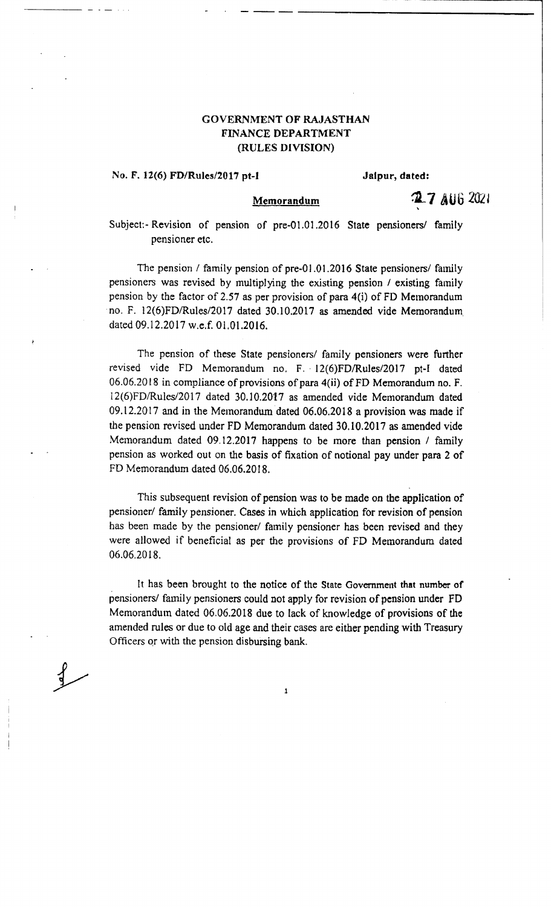## **GOVERNMENT OF RAJASTHAN FINANCE DEPARTMENT (RULES DIVISION)**

### **No. F. 12(6) FD/Rules/2017 pt-I Jaipur, dated:**

- .•. - . - --- --

### **Memorandum**

27 AUG 2021

Subject:- Revision of pension of pre·Ol.01.2016 State pensioners/ family pensioner etc.

The pension *I* family pension of pre-01.01.2016 State pensioners/ family pensioners was revised by multiplying the existing pension / existing family pension by the factor of 2.57 as per provision of para 4(i) of FD Memorandum ·no. F. 12(6)FD/Rules/2017 dated 30.10.2017 as amended vide Memorandum. dated 09.12.2017 w.e.f. 01.01.2016.

The pension of these State pensioners/ family pensioners were further revised vide FD Memorandum no. F. 12(6)FD/Rules/2017 pt-I dated 06.06.2018 in compliance of provisions of para 4(ii) of FD Memorandum no. F. 12(6)FD/Rules/2017 dated 30.10.2017 as amended vide Memorandum dated  $09.12.2017$  and in the Memorandum dated  $06.06.2018$  a provision was made if the pension revised under FD Memorandum dated 30.10.2017 as amended vide Memorandum dated 09.12.2017 happens to be more than pension / family pension *as* worked out on the basis of fixation of notional pay under para 2 of FD Memorandum dated 06.06.2018.

This subsequent revision of pension was to be made on the application of pensioner/ family pensioner. Cases in which application for revision of pension has been made by the pensioner/ family pensioner has been revised and they were allowed if beneficial as per the provisions of FD Memorandum dated 06.06.2018.

It has been brought to the notice of the State Government that number of pensioners/ family pensioners could not apply for revision of pension under FD Memorandum dated 06.06.2018 due to lack of knowledge of provisions of the amended rules or due to old age and their cases are either pending with Treasury Officers qr with the pension disbursing bank.

l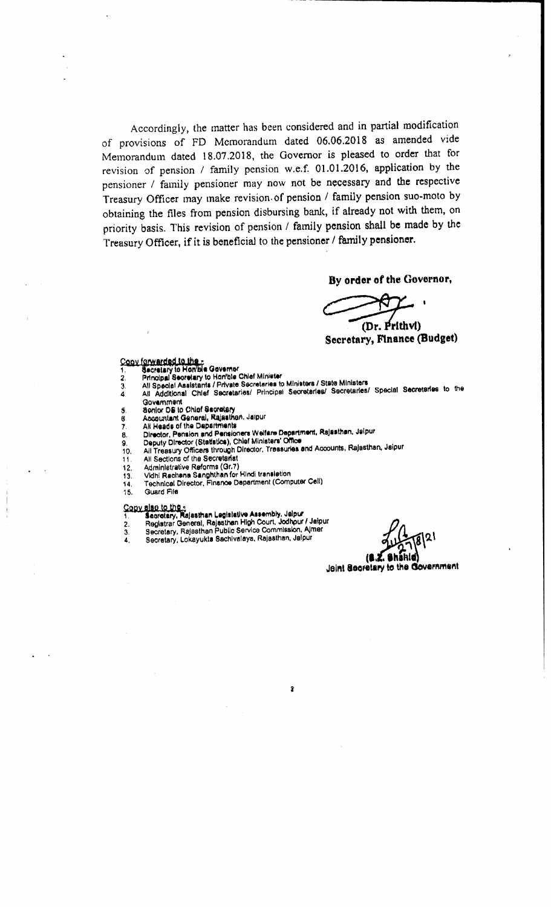Accordingly, the matter has been considered and in partial modification of provisions of FD Memorandum dated 06.06.2018 as amended vide Memorandum dated 18.07.2018, the Governor is pleased to order that for revision of pension / family pension w.e.f. 01.01.2016, application by the pensioner / family pensioner may now not be necessary and the respective Treasury Officer may make revision of pension / family pension suo-moto by obtaining the files from pension disbursing bank, if already not with them, on priority basis. This revision of pension / family pension shall be made by the Treasury Officer, if it is beneficial to the pensioner / family pensioner.

By order of the Governor,

(Dr. Prithvi) Secretary, Finance (Budget)

- 
- 
- Copy forwarded to the r<br>1. Secretary to Hon'ble Governer<br>2. Principal Secretary to Hon'ble Chief Minister<br>3. All Special Assistants / Private Secretaries to Ministers / State Ministers<br>4. All Additional Chief Secretaries/

 $\overline{\mathbf{2}}$ 

- Government Senior DS to Chief Secretary 5.
- Accountant General, Rajasthen, Jaipur 6.
- ž,
- All Heads of the Departments<br>Director, Pension and Pensioners Welfare Department, Rajasthan, Jaipur<br>Deputy Director (Statistics), Chief Ministers' Office 8.
- 9.
- All Treasury Officers through Director, Treasuries and Accounts, Rajasthan, Jaipur  $10<sub>1</sub>$
- All Sections of the Secretariat 11
- Administrative Reforms (Gr.7)  $12.$
- Vidhi Rachana Sanghthan for Hindi translation 13.
- Technical Director, Finance Department (Computer Cell) 14.
- **Guard File**

15.

- Copy also to the "<br>1. Sepretary, Rajasthan Legislative Assembly, Jaipur<br>2. Registrar General, Rajasthan High Court, Jodhpur / Jaipur<br>3. Secretary, Rajasthan Public Service Commission, Almer
	-
- $\frac{3}{4}$ Secretary, Lokayukta Sachivalaya, Rajasthan, Jalpur

**Shahid** 

18.Z Joint Secretary to the Government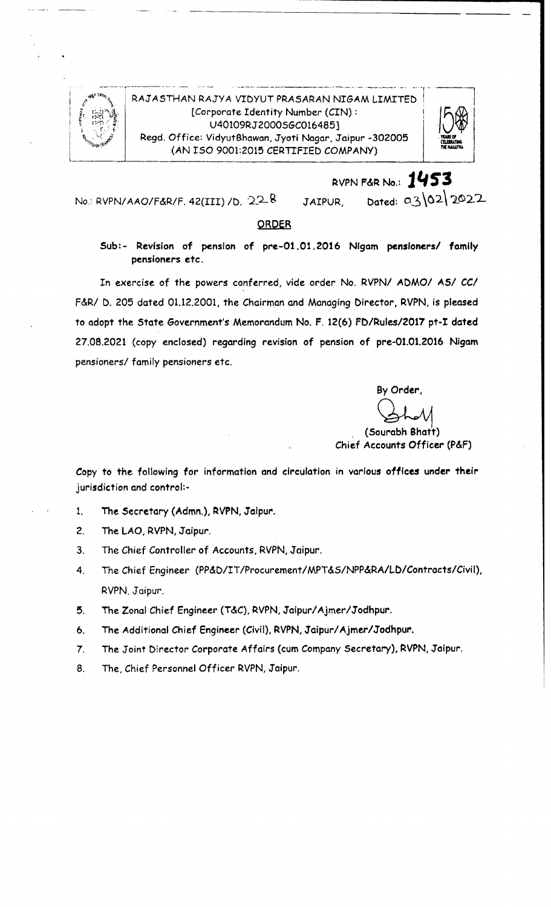

### RAJASTHAN RAJYA VIDYUT PRASARAN NIGAM LIMITED [Corporate Identity Number (CIN): U40109RJ2000S6C016485] Regd. Office: VidyutBhawan, Jyoti Nagar, Jaipur -302005 (AN ISO 9001:2015 CERTIFIED COMPANY)



Dated: a3/02/2022 No.: RVPN/AAO/F&R/F, 42(III) / D,  $22-8$ JAIPUR,

### ORDER

Sub:- Revision of pension of pre-01.01.2016 Nigam pensioners/ family pensioners etc.

In exercise of the powers conferred, vide order No. RVPN/ ADMO/ AS/ CC/ F&R/ D. 205 dated 01.12.2001, the Chairman and Managing Director, RVPN, is pleased to adopt the State Government's Memorandum No. F. 12(6) FD/Rules/2017 pt-I dated 27.08.2021 (copy enclosed) regarding revision of pension of pre-01.01.2016 Nigam pensioners/ family pensioners etc.

> By Order, (Sourabh Bhatt) Chief Accounts Officer (P&F)

RVPN F&R No.: 1453

Copy to the following for information and circulation in various offices under their jurisdiction and control:-

- The Secretary (Admn.), RVPN, Jaipur.  $1<sub>1</sub>$
- $2.$ The LAO, RVPN, Jaipur.
- The Chief Controller of Accounts, RVPN, Jaipur. 3.
- The Chief Engineer (PP&D/IT/Procurement/MPT&S/NPP&RA/LD/Contracts/Civil),  $4<sub>1</sub>$ RVPN, Jaipur.
- 5. The Zonal Chief Engineer (T&C), RVPN, Jaipur/Ajmer/Jodhpur.
- The Additional Chief Engineer (Civil), RVPN, Jaipur/Ajmer/Jodhpur. 6.
- $\overline{7}$ . The Joint Director Corporate Affairs (cum Company Secretary), RVPN, Jaipur.
- The, Chief Personnel Officer RVPN, Jaipur. 8.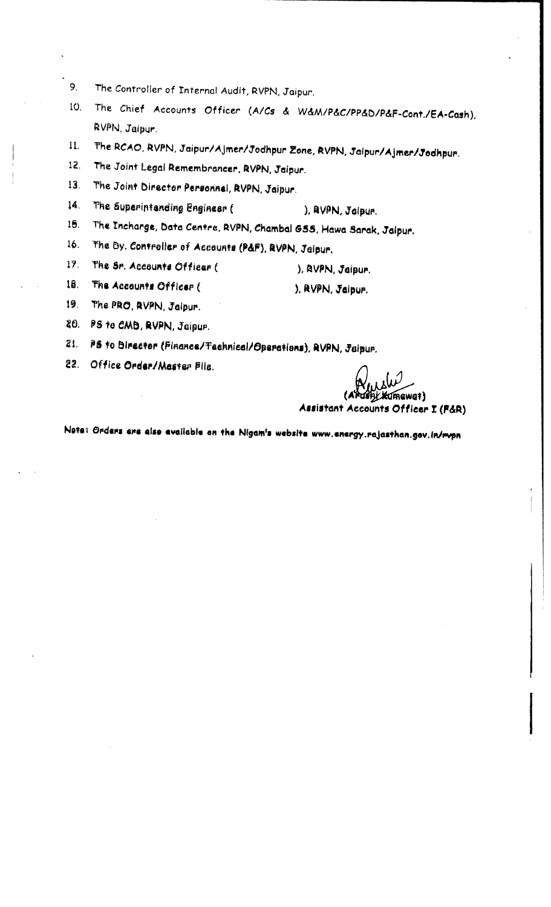- $9<sub>1</sub>$ The Controller of Internal Audit, RVPN, Jaipur.
- 10. The Chief Accounts Officer (A/Cs & W&M/P&C/PP&D/P&F-Cont./EA-Cash), RVPN, Jaipur.
- The RCAO, RVPN, Jaipur/Ajmer/Jodhpur Zone, RVPN, Jaipur/Ajmer/Jodhpur.  $11.$
- The Joint Legal Remembrancer, RVPN, Jaipur.  $12.$
- The Joint Director Personnal, RVPN, Jaipur. 13.
- The Superintending Engineer (  $14.$ ), BVPN, Jaipur.
- $15.$ The Incharge, Data Centre, RVPN, Chambal GSS, Hawa Sarak, Jaipur.

The Dy. Controller of Accounts (P&F), RVPN, Jaipur.  $16.$ 

- $17<sub>1</sub>$ The Sr. Accounts Officer (
- The Accounts Officer ( 18.
- $19.$ The PRO, RVPN, Jaipur.
- 20. PS to CMB, RVPN, Jaipur.
- 21. PS to Director (Finance/Technical/Operations), RVPN, Jaipur.
- 22. Office Order/Master File.

IGWQT) Assistant Accounts Officer I (F&R)

), RVPN, Jaipur.

), RVPN, Jaipur.

Note: Orders ere also available on the Nigam's website www.energy.rajasthan.gov.in/rvpn